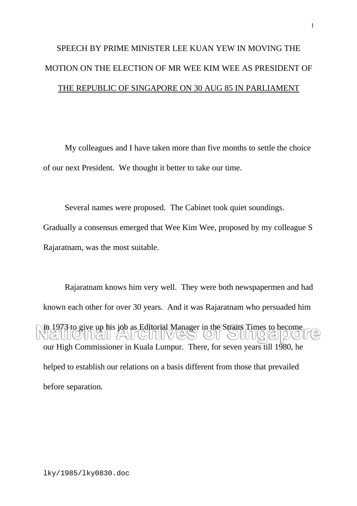## SPEECH BY PRIME MINISTER LEE KUAN YEW IN MOVING THE MOTION ON THE ELECTION OF MR WEE KIM WEE AS PRESIDENT OF THE REPUBLIC OF SINGAPORE ON 30 AUG 85 IN PARLIAMENT

My colleagues and I have taken more than five months to settle the choice of our next President. We thought it better to take our time.

Several names were proposed. The Cabinet took quiet soundings. Gradually a consensus emerged that Wee Kim Wee, proposed by my colleague S Rajaratnam, was the most suitable.

Rajaratnam knows him very well. They were both newspapermen and had known each other for over 30 years. And it was Rajaratnam who persuaded him in 1973 to give up his job as Editorial Manager in the Straits Times to become  $\Box$  (3 |  $\Box$  /ANT (5 | 1 | | |  $O(G||O)$ our High Commissioner in Kuala Lumpur. There, for seven years till 1980, he helped to establish our relations on a basis different from those that prevailed before separation.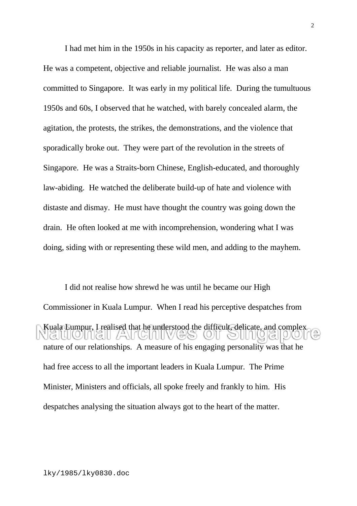I had met him in the 1950s in his capacity as reporter, and later as editor. He was a competent, objective and reliable journalist. He was also a man committed to Singapore. It was early in my political life. During the tumultuous 1950s and 60s, I observed that he watched, with barely concealed alarm, the agitation, the protests, the strikes, the demonstrations, and the violence that sporadically broke out. They were part of the revolution in the streets of Singapore. He was a Straits-born Chinese, English-educated, and thoroughly law-abiding. He watched the deliberate build-up of hate and violence with distaste and dismay. He must have thought the country was going down the drain. He often looked at me with incomprehension, wondering what I was doing, siding with or representing these wild men, and adding to the mayhem.

I did not realise how shrewd he was until he became our High Commissioner in Kuala Lumpur. When I read his perceptive despatches from Kuala Lumpur, I realised that he understood the difficult, delicate, and complex  $\overline{1}$   $\sigma$  $\left[\binom{m}{2}$ nature of our relationships. A measure of his engaging personality was that he had free access to all the important leaders in Kuala Lumpur. The Prime Minister, Ministers and officials, all spoke freely and frankly to him. His despatches analysing the situation always got to the heart of the matter.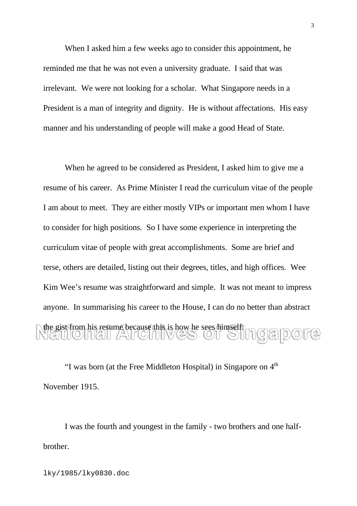When I asked him a few weeks ago to consider this appointment, he reminded me that he was not even a university graduate. I said that was irrelevant. We were not looking for a scholar. What Singapore needs in a President is a man of integrity and dignity. He is without affectations. His easy manner and his understanding of people will make a good Head of State.

When he agreed to be considered as President, I asked him to give me a resume of his career. As Prime Minister I read the curriculum vitae of the people I am about to meet. They are either mostly VIPs or important men whom I have to consider for high positions. So I have some experience in interpreting the curriculum vitae of people with great accomplishments. Some are brief and terse, others are detailed, listing out their degrees, titles, and high offices. Wee Kim Wee's resume was straightforward and simple. It was not meant to impress anyone. In summarising his career to the House, I can do no better than abstract the gist from his resume because this is how he sees himself<br> $\bigcirc$  all  $\bigcirc$  all  $\bigcirc$  all  $\bigcirc$  all  $\bigcirc$  all  $\bigcirc$  all  $\bigcirc$  all  $\bigcirc$  all  $\bigcirc$  all  $\bigcirc$  all  $\bigcirc$  all  $\bigcirc$  all  $\bigcirc$  all  $\bigcirc$  all  $\bigcirc$  all  $\bigcirc$  all

"I was born (at the Free Middleton Hospital) in Singapore on  $4<sup>th</sup>$ November 1915.

I was the fourth and youngest in the family - two brothers and one halfbrother.

lky/1985/lky0830.doc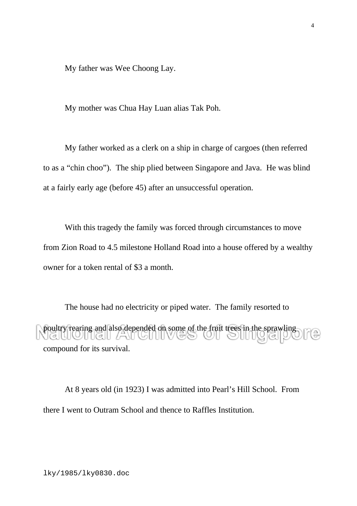My father was Wee Choong Lay.

My mother was Chua Hay Luan alias Tak Poh.

My father worked as a clerk on a ship in charge of cargoes (then referred to as a "chin choo"). The ship plied between Singapore and Java. He was blind at a fairly early age (before 45) after an unsuccessful operation.

With this tragedy the family was forced through circumstances to move from Zion Road to 4.5 milestone Holland Road into a house offered by a wealthy owner for a token rental of \$3 a month.

The house had no electricity or piped water. The family resorted to poultry rearing and also depended on some of the fruit trees in the sprawling compound for its survival.

At 8 years old (in 1923) I was admitted into Pearl's Hill School. From there I went to Outram School and thence to Raffles Institution.

lky/1985/lky0830.doc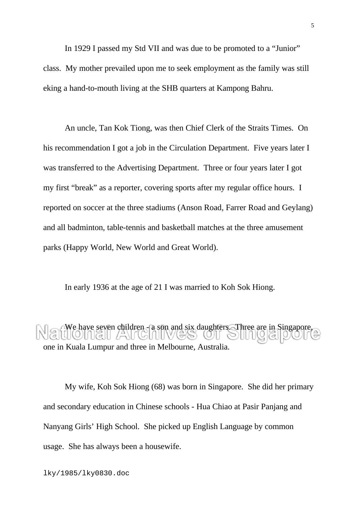In 1929 I passed my Std VII and was due to be promoted to a "Junior" class. My mother prevailed upon me to seek employment as the family was still eking a hand-to-mouth living at the SHB quarters at Kampong Bahru.

An uncle, Tan Kok Tiong, was then Chief Clerk of the Straits Times. On his recommendation I got a job in the Circulation Department. Five years later I was transferred to the Advertising Department. Three or four years later I got my first "break" as a reporter, covering sports after my regular office hours. I reported on soccer at the three stadiums (Anson Road, Farrer Road and Geylang) and all badminton, table-tennis and basketball matches at the three amusement parks (Happy World, New World and Great World).

In early 1936 at the age of 21 I was married to Koh Sok Hiong.

We have seven children - a son and six daughters. Three are in Singapore, one in Kuala Lumpur and three in Melbourne, Australia.

My wife, Koh Sok Hiong (68) was born in Singapore. She did her primary and secondary education in Chinese schools - Hua Chiao at Pasir Panjang and Nanyang Girls' High School. She picked up English Language by common usage. She has always been a housewife.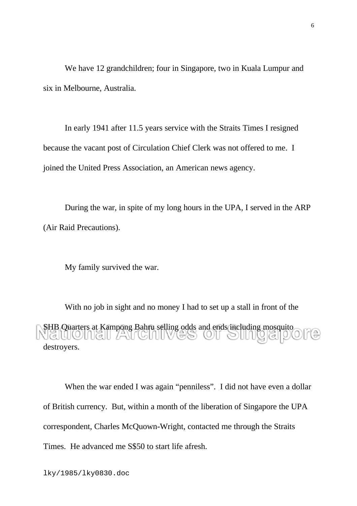We have 12 grandchildren; four in Singapore, two in Kuala Lumpur and six in Melbourne, Australia.

In early 1941 after 11.5 years service with the Straits Times I resigned because the vacant post of Circulation Chief Clerk was not offered to me. I joined the United Press Association, an American news agency.

During the war, in spite of my long hours in the UPA, I served in the ARP (Air Raid Precautions).

My family survived the war.

With no job in sight and no money I had to set up a stall in front of the SHB Quarters at Kampong Bahru selling odds and ends including mosquito destroyers.

When the war ended I was again "penniless". I did not have even a dollar of British currency. But, within a month of the liberation of Singapore the UPA correspondent, Charles McQuown-Wright, contacted me through the Straits Times. He advanced me S\$50 to start life afresh.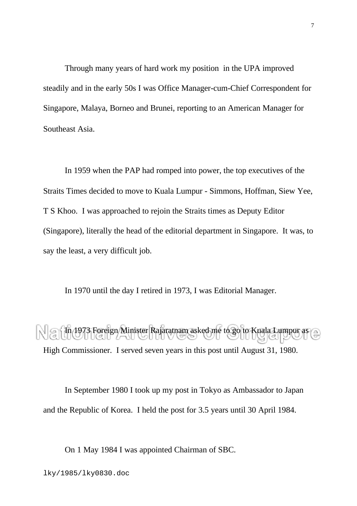Through many years of hard work my position in the UPA improved steadily and in the early 50s I was Office Manager-cum-Chief Correspondent for Singapore, Malaya, Borneo and Brunei, reporting to an American Manager for Southeast Asia.

In 1959 when the PAP had romped into power, the top executives of the Straits Times decided to move to Kuala Lumpur - Simmons, Hoffman, Siew Yee, T S Khoo. I was approached to rejoin the Straits times as Deputy Editor (Singapore), literally the head of the editorial department in Singapore. It was, to say the least, a very difficult job.

In 1970 until the day I retired in 1973, I was Editorial Manager.

In 1973 Foreign Minister Rajaratnam asked me to go to Kuala Lumpur as High Commissioner. I served seven years in this post until August 31, 1980.

In September 1980 I took up my post in Tokyo as Ambassador to Japan and the Republic of Korea. I held the post for 3.5 years until 30 April 1984.

On 1 May 1984 I was appointed Chairman of SBC.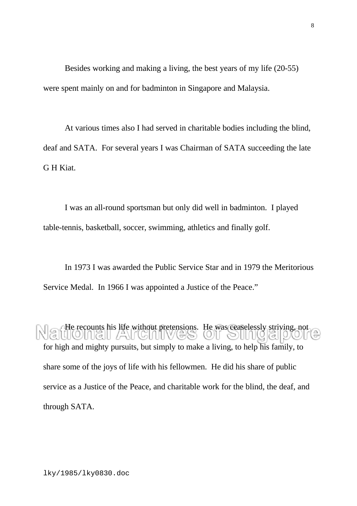Besides working and making a living, the best years of my life (20-55) were spent mainly on and for badminton in Singapore and Malaysia.

At various times also I had served in charitable bodies including the blind, deaf and SATA. For several years I was Chairman of SATA succeeding the late G H Kiat.

I was an all-round sportsman but only did well in badminton. I played table-tennis, basketball, soccer, swimming, athletics and finally golf.

In 1973 I was awarded the Public Service Star and in 1979 the Meritorious Service Medal. In 1966 I was appointed a Justice of the Peace."

He recounts his life without pretensions. He was ceaselessly striving, not for high and mighty pursuits, but simply to make a living, to help his family, to share some of the joys of life with his fellowmen. He did his share of public service as a Justice of the Peace, and charitable work for the blind, the deaf, and through SATA.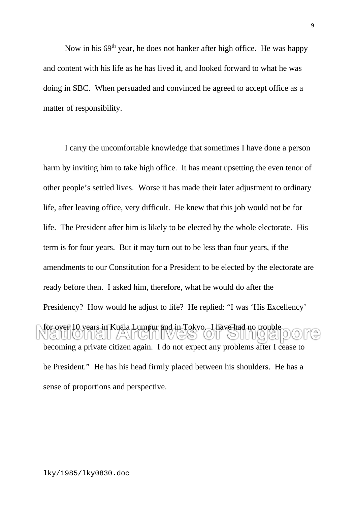Now in his  $69<sup>th</sup>$  year, he does not hanker after high office. He was happy and content with his life as he has lived it, and looked forward to what he was doing in SBC. When persuaded and convinced he agreed to accept office as a matter of responsibility.

I carry the uncomfortable knowledge that sometimes I have done a person harm by inviting him to take high office. It has meant upsetting the even tenor of other people's settled lives. Worse it has made their later adjustment to ordinary life, after leaving office, very difficult. He knew that this job would not be for life. The President after him is likely to be elected by the whole electorate. His term is for four years. But it may turn out to be less than four years, if the amendments to our Constitution for a President to be elected by the electorate are ready before then. I asked him, therefore, what he would do after the Presidency? How would he adjust to life? He replied: "I was 'His Excellency' for over 10 years in Kuala Lumpur and in Tokyo. I have had no trouble  $\Box$  (3 |  $\Box$  /ANT (5 | 1 | | | becoming a private citizen again. I do not expect any problems after I cease to be President." He has his head firmly placed between his shoulders. He has a sense of proportions and perspective.